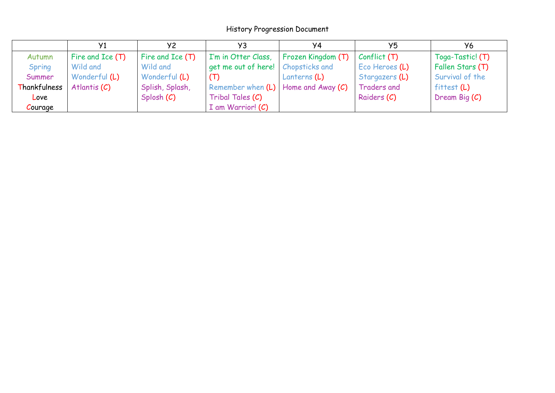## History Progression Document

|              | Y1                | <b>Y2</b>                 | Y3                                      | Y4                 | Y5                 | Y6               |
|--------------|-------------------|---------------------------|-----------------------------------------|--------------------|--------------------|------------------|
| Autumn       | Fire and $Ice(T)$ | Fire and $\text{Ice (T)}$ | I'm in Otter Class,                     | Frozen Kingdom (T) | Conflict(T)        | Toga-Tastic! (T) |
| Spring       | Wild and          | Wild and                  | get me out of here! Chopsticks and      |                    | Eco Heroes (L)     | Fallen Stars (T) |
| Summer       | Wonderful (L)     | Wonderful (L)             | (T)                                     | Lanterns (L)       | Stargazers (L)     | Survival of the  |
| Thankfulness | Atlantis (C)      | Splish, Splash,           | Remember when $(L)$ Home and Away $(C)$ |                    | <b>Traders and</b> | fittest (L)      |
| Love         |                   | Splosh (C)                | Tribal Tales (C)                        |                    | Raiders (C)        | Dream Big $(C)$  |
| Courage      |                   |                           | $I$ am Warrior! $(C)$                   |                    |                    |                  |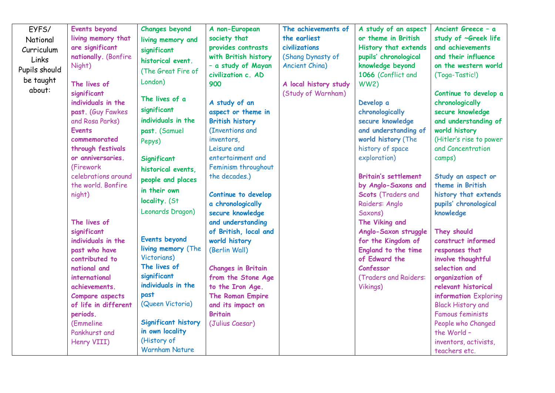| EYFS/<br>National<br>Curriculum<br>Links<br>Pupils should<br>be taught<br>about: | <b>Events beyond</b><br>living memory that<br>are significant<br>nationally. (Bonfire<br>Night)<br>The lives of<br>significant<br>individuals in the<br>past. (Guy Fawkes<br>and Rosa Parks)<br><b>Events</b><br>commemorated<br>through festivals<br>or anniversaries.<br>(Firework)<br>celebrations around<br>the world. Bonfire<br>night) | <b>Changes beyond</b><br>living memory and<br>significant<br>historical event.<br>(The Great Fire of<br>London)<br>The lives of a<br>significant<br>individuals in the<br>past. (Samuel<br>Pepys)<br>Significant<br>historical events.<br>people and places<br>in their own<br>locality. (St<br>Leonards Dragon) | A non-European<br>society that<br>provides contrasts<br>with British history<br>- a study of Mayan<br>civilization c. AD<br>900<br>A study of an<br>aspect or theme in<br><b>British history</b><br>(Inventions and<br>inventors,<br>Leisure and<br>entertainment and<br>Feminism throughout<br>the decades.)<br>Continue to develop<br>a chronologically<br>secure knowledge<br>and understanding<br>of British, local and<br>world history<br>(Berlin Wall)<br><b>Changes in Britain</b><br>from the Stone Age<br>to the Iron Age.<br>The Roman Empire<br>and its impact on<br><b>Britain</b><br>(Julius Caesar) | The achievements of<br>the earliest<br>civilizations<br>(Shang Dynasty of<br>Ancient China)<br>A local history study<br>(Study of Warnham) | A study of an aspect<br>or theme in British<br>History that extends<br>pupils' chronological<br>knowledge beyond<br>1066 (Conflict and<br><b>WW2)</b><br>Develop a<br>chronologically<br>secure knowledge<br>and understanding of<br>world history (The<br>history of space<br>exploration)<br><b>Britain's settlement</b><br>by Anglo-Saxons and<br><b>Scots (Traders and</b><br>Raiders: Anglo<br>Saxons)<br>The Viking and<br>Anglo-Saxon struggle<br>for the Kingdom of<br>England to the time<br>of Edward the<br>Confessor<br>(Traders and Raiders:<br>Vikings) | Ancient Greece - a<br>study of ~Greek life<br>and achievements<br>and their influence<br>on the western world<br>(Toga-Tastic!)<br>Continue to develop a<br>chronologically<br>secure knowledge<br>and understanding of<br>world history<br>(Hitler's rise to power<br>and Concentration<br>camps)<br>Study an aspect or<br>theme in British<br>history that extends<br>pupils' chronological |
|----------------------------------------------------------------------------------|----------------------------------------------------------------------------------------------------------------------------------------------------------------------------------------------------------------------------------------------------------------------------------------------------------------------------------------------|------------------------------------------------------------------------------------------------------------------------------------------------------------------------------------------------------------------------------------------------------------------------------------------------------------------|--------------------------------------------------------------------------------------------------------------------------------------------------------------------------------------------------------------------------------------------------------------------------------------------------------------------------------------------------------------------------------------------------------------------------------------------------------------------------------------------------------------------------------------------------------------------------------------------------------------------|--------------------------------------------------------------------------------------------------------------------------------------------|-----------------------------------------------------------------------------------------------------------------------------------------------------------------------------------------------------------------------------------------------------------------------------------------------------------------------------------------------------------------------------------------------------------------------------------------------------------------------------------------------------------------------------------------------------------------------|-----------------------------------------------------------------------------------------------------------------------------------------------------------------------------------------------------------------------------------------------------------------------------------------------------------------------------------------------------------------------------------------------|
|                                                                                  | The lives of<br>significant<br>individuals in the<br>past who have<br>contributed to<br>national and<br>international<br>achievements.<br>Compare aspects<br>of life in different<br>periods.<br>(Emmeline<br>Pankhurst and<br>Henry VIII)                                                                                                   | <b>Events beyond</b><br>living memory (The<br>Victorians)<br>The lives of<br>significant<br>individuals in the<br>past<br>(Queen Victoria)<br>Significant history<br>in own locality<br>(History of<br><b>Warnham Nature</b>                                                                                     |                                                                                                                                                                                                                                                                                                                                                                                                                                                                                                                                                                                                                    |                                                                                                                                            |                                                                                                                                                                                                                                                                                                                                                                                                                                                                                                                                                                       | knowledge<br>They should<br>construct informed<br>responses that<br>involve thoughtful<br>selection and<br>organization of<br>relevant historical<br>information Exploring<br><b>Black History and</b><br><b>Famous feminists</b><br>People who Changed<br>the World -<br>inventors, activists,<br>teachers etc.                                                                              |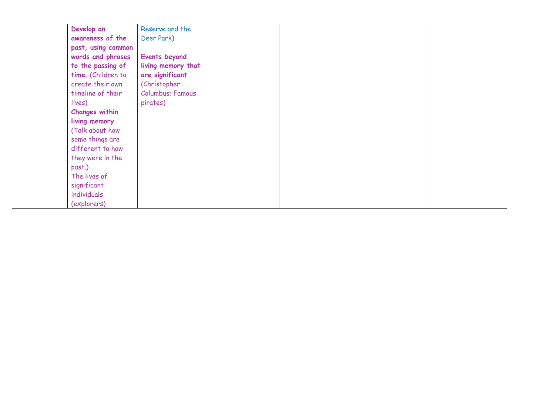| Develop an            | Reserve and the    |  |  |
|-----------------------|--------------------|--|--|
| awareness of the      | Deer Park)         |  |  |
| past, using common    |                    |  |  |
| words and phrases     | Events beyond      |  |  |
| to the passing of     | living memory that |  |  |
| time. (Children to    | are significant    |  |  |
| create their own      | (Christopher       |  |  |
| timeline of their     | Columbus; Famous   |  |  |
| lives)                | pirates)           |  |  |
| <b>Changes within</b> |                    |  |  |
| living memory         |                    |  |  |
| (Talk about how       |                    |  |  |
| some things are       |                    |  |  |
| different to how      |                    |  |  |
| they were in the      |                    |  |  |
| past.)                |                    |  |  |
| The lives of          |                    |  |  |
| significant           |                    |  |  |
| individuals           |                    |  |  |
| (explorers)           |                    |  |  |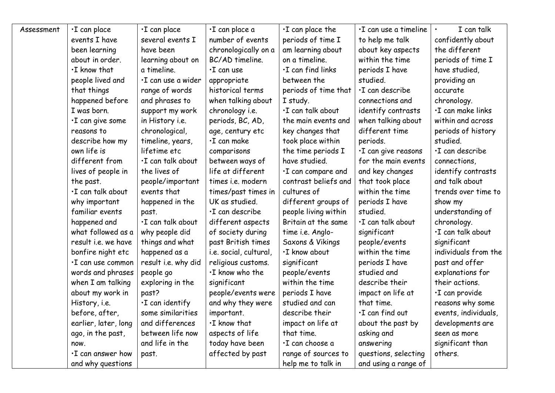| Assessment | $\cdot$ I can place     | ·I can place           | $\cdot$ I can place a  | $\cdot$ I can place the | ·I can use a timeline | I can talk<br>$\bullet$ |
|------------|-------------------------|------------------------|------------------------|-------------------------|-----------------------|-------------------------|
|            | events I have           | several events I       | number of events       | periods of time I       | to help me talk       | confidently about       |
|            | been learning           | have been              | chronologically on a   | am learning about       | about key aspects     | the different           |
|            | about in order.         | learning about on      | BC/AD timeline.        | on a timeline.          | within the time       | periods of time I       |
|            | .I know that            | a timeline.            | $\cdot$ I can use      | ·I can find links       | periods I have        | have studied,           |
|            | people lived and        | ·I can use a wider     | appropriate            | between the             | studied.              | providing an            |
|            | that things             | range of words         | historical terms       | periods of time that    | ·I can describe       | accurate                |
|            | happened before         | and phrases to         | when talking about     | I study.                | connections and       | chronology.             |
|            | I was born.             | support my work        | chronology i.e.        | ·I can talk about       | identify contrasts    | ·I can make links       |
|            | $\cdot$ I can give some | in History i.e.        | periods, BC, AD,       | the main events and     | when talking about    | within and across       |
|            | reasons to              | chronological,         | age, century etc       | key changes that        | different time        | periods of history      |
|            | describe how my         | timeline, years,       | $\cdot$ I can make     | took place within       | periods.              | studied.                |
|            | own life is             | lifetime etc           | comparisons            | the time periods I      | ·I can give reasons   | ·I can describe         |
|            | different from          | ·I can talk about      | between ways of        | have studied.           | for the main events   | connections,            |
|            | lives of people in      | the lives of           | life at different      | ·I can compare and      | and key changes       | identify contrasts      |
|            | the past.               | people/important       | times i.e. modern      | contrast beliefs and    | that took place       | and talk about          |
|            | ·I can talk about       | events that            | times/past times in    | cultures of             | within the time       | trends over time to     |
|            | why important           | happened in the        | UK as studied.         | different groups of     | periods I have        | show my                 |
|            | familiar events         | past.                  | ·I can describe        | people living within    | studied.              | understanding of        |
|            | happened and            | ·I can talk about      | different aspects      | Britain at the same     | ·I can talk about     | chronology.             |
|            | what followed as a      | why people did         | of society during      | time i.e. Anglo-        | significant           | ·I can talk about       |
|            | result i.e. we have     | things and what        | past British times     | Saxons & Vikings        | people/events         | significant             |
|            | bonfire night etc       | happened as a          | i.e. social, cultural, | .I know about           | within the time       | individuals from the    |
|            | ·I can use common       | result i.e. why did    | religious customs.     | significant             | periods I have        | past and offer          |
|            | words and phrases       | people go              | $\cdot$ I know who the | people/events           | studied and           | explanations for        |
|            | when I am talking       | exploring in the       | significant            | within the time         | describe their        | their actions.          |
|            | about my work in        | past?                  | people/events were     | periods I have          | impact on life at     | ·I can provide          |
|            | History, i.e.           | $\cdot$ I can identify | and why they were      | studied and can         | that time.            | reasons why some        |
|            | before, after,          | some similarities      | important.             | describe their          | .I can find out       | events, individuals,    |
|            | earlier, later, long    | and differences        | .I know that           | impact on life at       | about the past by     | developments are        |
|            | ago, in the past,       | between life now       | aspects of life        | that time.              | asking and            | seen as more            |
|            | now.                    | and life in the        | today have been        | ·I can choose a         | answering             | significant than        |
|            | .I can answer how       | past.                  | affected by past       | range of sources to     | questions, selecting  | others.                 |
|            | and why questions       |                        |                        | help me to talk in      | and using a range of  |                         |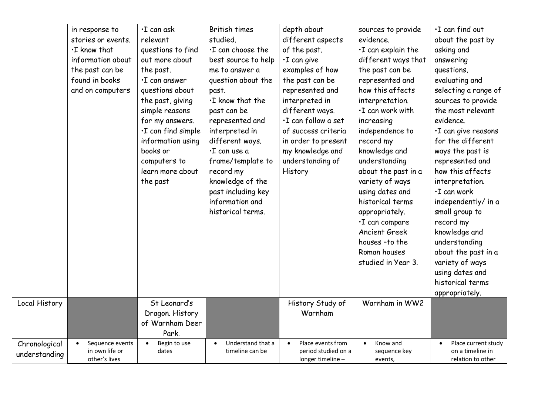|                                | in response to<br>stories or events.<br>.I know that<br>information about<br>the past can be<br>found in books<br>and on computers | ·I can ask<br>relevant<br>questions to find<br>out more about<br>the past.<br>$\cdot$ I can answer<br>questions about<br>the past, giving<br>simple reasons<br>for my answers.<br>·I can find simple<br>information using<br>books or<br>computers to<br>learn more about<br>the past | <b>British times</b><br>studied.<br>.I can choose the<br>best source to help<br>me to answer a<br>question about the<br>past.<br>.I know that the<br>past can be<br>represented and<br>interpreted in<br>different ways.<br>·I can use a<br>frame/template to<br>record my<br>knowledge of the<br>past including key<br>information and<br>historical terms. | depth about<br>different aspects<br>of the past.<br>·I can give<br>examples of how<br>the past can be<br>represented and<br>interpreted in<br>different ways.<br>·I can follow a set<br>of success criteria<br>in order to present<br>my knowledge and<br>understanding of<br>History | sources to provide<br>evidence.<br>$\cdot$ I can explain the<br>different ways that<br>the past can be<br>represented and<br>how this affects<br>interpretation.<br>·I can work with<br>increasing<br>independence to<br>record my<br>knowledge and<br>understanding<br>about the past in a<br>variety of ways<br>using dates and<br>historical terms<br>appropriately.<br>·I can compare<br>Ancient Greek<br>houses-to the<br>Roman houses<br>studied in Year 3. | ·I can find out<br>about the past by<br>asking and<br>answering<br>questions,<br>evaluating and<br>selecting a range of<br>sources to provide<br>the most relevant<br>evidence.<br>·I can give reasons<br>for the different<br>ways the past is<br>represented and<br>how this affects<br>interpretation.<br>·I can work<br>independently/ in a<br>small group to<br>record my<br>knowledge and<br>understanding<br>about the past in a<br>variety of ways<br>using dates and<br>historical terms<br>appropriately. |
|--------------------------------|------------------------------------------------------------------------------------------------------------------------------------|---------------------------------------------------------------------------------------------------------------------------------------------------------------------------------------------------------------------------------------------------------------------------------------|--------------------------------------------------------------------------------------------------------------------------------------------------------------------------------------------------------------------------------------------------------------------------------------------------------------------------------------------------------------|---------------------------------------------------------------------------------------------------------------------------------------------------------------------------------------------------------------------------------------------------------------------------------------|-------------------------------------------------------------------------------------------------------------------------------------------------------------------------------------------------------------------------------------------------------------------------------------------------------------------------------------------------------------------------------------------------------------------------------------------------------------------|---------------------------------------------------------------------------------------------------------------------------------------------------------------------------------------------------------------------------------------------------------------------------------------------------------------------------------------------------------------------------------------------------------------------------------------------------------------------------------------------------------------------|
| Local History                  |                                                                                                                                    | St Leonard's<br>Dragon. History<br>of Warnham Deer<br>Park.                                                                                                                                                                                                                           |                                                                                                                                                                                                                                                                                                                                                              | History Study of<br>Warnham                                                                                                                                                                                                                                                           | Warnham in WW2                                                                                                                                                                                                                                                                                                                                                                                                                                                    |                                                                                                                                                                                                                                                                                                                                                                                                                                                                                                                     |
| Chronological<br>understanding | Sequence events<br>in own life or<br>other's lives                                                                                 | Begin to use<br>$\bullet$<br>dates                                                                                                                                                                                                                                                    | Understand that a<br>$\bullet$<br>timeline can be                                                                                                                                                                                                                                                                                                            | Place events from<br>$\bullet$<br>period studied on a<br>longer timeline -                                                                                                                                                                                                            | Know and<br>$\bullet$<br>sequence key<br>events,                                                                                                                                                                                                                                                                                                                                                                                                                  | Place current study<br>$\bullet$<br>on a timeline in<br>relation to other                                                                                                                                                                                                                                                                                                                                                                                                                                           |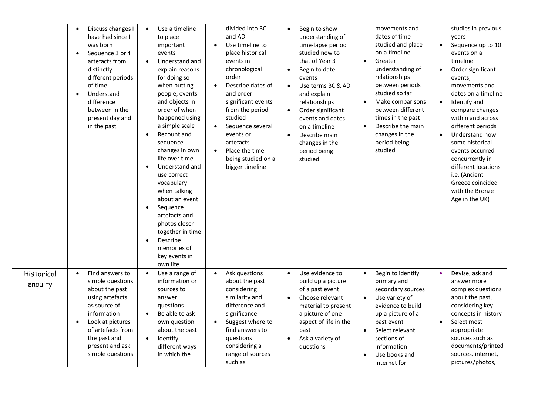|                       | Discuss changes I<br>$\bullet$<br>have had since I<br>was born<br>Sequence 3 or 4<br>artefacts from<br>distinctly<br>different periods<br>of time<br>Understand<br>difference<br>between in the<br>present day and<br>in the past | Use a timeline<br>$\bullet$<br>to place<br>important<br>events<br>Understand and<br>$\bullet$<br>explain reasons<br>for doing so<br>when putting<br>people, events<br>and objects in<br>order of when<br>happened using<br>a simple scale<br>Recount and<br>$\bullet$<br>sequence<br>changes in own<br>life over time<br>Understand and<br>use correct<br>vocabulary<br>when talking<br>about an event<br>Sequence<br>$\bullet$<br>artefacts and<br>photos closer<br>together in time<br>Describe<br>$\bullet$<br>memories of<br>key events in<br>own life | divided into BC<br>and AD<br>Use timeline to<br>$\bullet$<br>place historical<br>events in<br>chronological<br>order<br>Describe dates of<br>and order<br>significant events<br>from the period<br>studied<br>Sequence several<br>events or<br>artefacts<br>Place the time<br>being studied on a<br>bigger timeline | Begin to show<br>$\bullet$<br>understanding of<br>time-lapse period<br>studied now to<br>that of Year 3<br>Begin to date<br>$\bullet$<br>events<br>Use terms BC & AD<br>$\bullet$<br>and explain<br>relationships<br>Order significant<br>$\bullet$<br>events and dates<br>on a timeline<br>Describe main<br>$\bullet$<br>changes in the<br>period being<br>studied | movements and<br>dates of time<br>studied and place<br>on a timeline<br>Greater<br>$\bullet$<br>understanding of<br>relationships<br>between periods<br>studied so far<br>Make comparisons<br>between different<br>times in the past<br>Describe the main<br>changes in the<br>period being<br>studied | studies in previous<br>years<br>Sequence up to 10<br>$\bullet$<br>events on a<br>timeline<br>Order significant<br>$\bullet$<br>events,<br>movements and<br>dates on a timeline<br>Identify and<br>$\bullet$<br>compare changes<br>within and across<br>different periods<br>Understand how<br>$\bullet$<br>some historical<br>events occurred<br>concurrently in<br>different locations<br>i.e. (Ancient<br>Greece coincided<br>with the Bronze<br>Age in the UK) |
|-----------------------|-----------------------------------------------------------------------------------------------------------------------------------------------------------------------------------------------------------------------------------|------------------------------------------------------------------------------------------------------------------------------------------------------------------------------------------------------------------------------------------------------------------------------------------------------------------------------------------------------------------------------------------------------------------------------------------------------------------------------------------------------------------------------------------------------------|---------------------------------------------------------------------------------------------------------------------------------------------------------------------------------------------------------------------------------------------------------------------------------------------------------------------|---------------------------------------------------------------------------------------------------------------------------------------------------------------------------------------------------------------------------------------------------------------------------------------------------------------------------------------------------------------------|--------------------------------------------------------------------------------------------------------------------------------------------------------------------------------------------------------------------------------------------------------------------------------------------------------|-------------------------------------------------------------------------------------------------------------------------------------------------------------------------------------------------------------------------------------------------------------------------------------------------------------------------------------------------------------------------------------------------------------------------------------------------------------------|
| Historical<br>enquiry | Find answers to<br>$\bullet$<br>simple questions<br>about the past<br>using artefacts<br>as source of<br>information<br>Look at pictures<br>of artefacts from<br>the past and<br>present and ask<br>simple questions              | Use a range of<br>$\bullet$<br>information or<br>sources to<br>answer<br>questions<br>Be able to ask<br>$\bullet$<br>own question<br>about the past<br>Identify<br>$\bullet$<br>different ways<br>in which the                                                                                                                                                                                                                                                                                                                                             | Ask questions<br>$\bullet$<br>about the past<br>considering<br>similarity and<br>difference and<br>significance<br>Suggest where to<br>find answers to<br>questions<br>considering a<br>range of sources<br>such as                                                                                                 | Use evidence to<br>$\bullet$<br>build up a picture<br>of a past event<br>Choose relevant<br>$\bullet$<br>material to present<br>a picture of one<br>aspect of life in the<br>past<br>Ask a variety of<br>$\bullet$<br>questions                                                                                                                                     | Begin to identify<br>$\bullet$<br>primary and<br>secondary sources<br>Use variety of<br>$\bullet$<br>evidence to build<br>up a picture of a<br>past event<br>Select relevant<br>sections of<br>information<br>Use books and<br>internet for                                                            | Devise, ask and<br>$\bullet$<br>answer more<br>complex questions<br>about the past,<br>considering key<br>concepts in history<br>Select most<br>$\bullet$<br>appropriate<br>sources such as<br>documents/printed<br>sources, internet,<br>pictures/photos,                                                                                                                                                                                                        |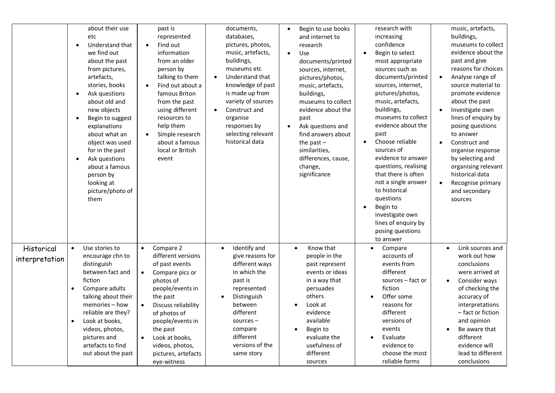|                              | $\bullet$<br>$\bullet$<br>$\bullet$<br>$\bullet$ | about their use<br>etc<br>Understand that<br>we find out<br>about the past<br>from pictures,<br>artefacts,<br>stories, books<br>Ask questions<br>about old and<br>new objects<br>Begin to suggest<br>explanations<br>about what an<br>object was used<br>for in the past<br>Ask questions<br>about a famous<br>person by<br>looking at<br>picture/photo of<br>them | $\bullet$<br>$\bullet$<br>$\bullet$ | past is<br>represented<br>Find out<br>information<br>from an older<br>person by<br>talking to them<br>Find out about a<br>famous Briton<br>from the past<br>using different<br>resources to<br>help them<br>Simple research<br>about a famous<br>local or British<br>event | $\bullet$<br>$\bullet$ | documents,<br>databases,<br>pictures, photos,<br>music, artefacts,<br>buildings,<br>museums etc<br>Understand that<br>knowledge of past<br>is made up from<br>variety of sources<br>Construct and<br>organise<br>responses by<br>selecting relevant<br>historical data | $\bullet$<br>$\bullet$<br>$\bullet$ | Begin to use books<br>and internet to<br>research<br><b>Use</b><br>documents/printed<br>sources, internet,<br>pictures/photos,<br>music, artefacts,<br>buildings,<br>museums to collect<br>evidence about the<br>past<br>Ask questions and<br>find answers about<br>the past $-$<br>similarities,<br>differences, cause,<br>change,<br>significance | $\bullet$<br>$\bullet$ | research with<br>increasing<br>confidence<br>Begin to select<br>most appropriate<br>sources such as<br>documents/printed<br>sources, internet,<br>pictures/photos,<br>music, artefacts,<br>buildings,<br>museums to collect<br>evidence about the<br>past<br>Choose reliable<br>sources of<br>evidence to answer<br>questions, realising<br>that there is often<br>not a single answer<br>to historical<br>questions<br>Begin to<br>investigate own<br>lines of enquiry by<br>posing questions | $\bullet$<br>$\bullet$<br>$\bullet$<br>$\bullet$ | music, artefacts,<br>buildings,<br>museums to collect<br>evidence about the<br>past and give<br>reasons for choices<br>Analyse range of<br>source material to<br>promote evidence<br>about the past<br>Investigate own<br>lines of enquiry by<br>posing questions<br>to answer<br>Construct and<br>organise response<br>by selecting and<br>organising relevant<br>historical data<br>Recognise primary<br>and secondary<br>sources |
|------------------------------|--------------------------------------------------|--------------------------------------------------------------------------------------------------------------------------------------------------------------------------------------------------------------------------------------------------------------------------------------------------------------------------------------------------------------------|-------------------------------------|----------------------------------------------------------------------------------------------------------------------------------------------------------------------------------------------------------------------------------------------------------------------------|------------------------|------------------------------------------------------------------------------------------------------------------------------------------------------------------------------------------------------------------------------------------------------------------------|-------------------------------------|-----------------------------------------------------------------------------------------------------------------------------------------------------------------------------------------------------------------------------------------------------------------------------------------------------------------------------------------------------|------------------------|------------------------------------------------------------------------------------------------------------------------------------------------------------------------------------------------------------------------------------------------------------------------------------------------------------------------------------------------------------------------------------------------------------------------------------------------------------------------------------------------|--------------------------------------------------|-------------------------------------------------------------------------------------------------------------------------------------------------------------------------------------------------------------------------------------------------------------------------------------------------------------------------------------------------------------------------------------------------------------------------------------|
|                              |                                                  |                                                                                                                                                                                                                                                                                                                                                                    |                                     |                                                                                                                                                                                                                                                                            |                        |                                                                                                                                                                                                                                                                        |                                     |                                                                                                                                                                                                                                                                                                                                                     |                        | to answer                                                                                                                                                                                                                                                                                                                                                                                                                                                                                      |                                                  |                                                                                                                                                                                                                                                                                                                                                                                                                                     |
| Historical<br>interpretation | $\bullet$<br>$\bullet$                           | Use stories to<br>encourage chn to<br>distinguish<br>between fact and<br>fiction<br>Compare adults<br>talking about their<br>memories - how<br>reliable are they?<br>Look at books,<br>videos, photos,<br>pictures and<br>artefacts to find<br>out about the past                                                                                                  | $\bullet$<br>$\bullet$<br>$\bullet$ | Compare 2<br>different versions<br>of past events<br>Compare pics or<br>photos of<br>people/events in<br>the past<br>Discuss reliability<br>of photos of<br>people/events in<br>the past<br>Look at books,<br>videos, photos,<br>pictures, artefacts<br>eye-witness        | $\bullet$<br>$\bullet$ | Identify and<br>give reasons for<br>different ways<br>in which the<br>past is<br>represented<br>Distinguish<br>between<br>different<br>$sources -$<br>compare<br>different<br>versions of the<br>same story                                                            | $\bullet$<br>$\bullet$<br>$\bullet$ | Know that<br>people in the<br>past represent<br>events or ideas<br>in a way that<br>persuades<br>others<br>Look at<br>evidence<br>available<br>Begin to<br>evaluate the<br>usefulness of<br>different<br>sources                                                                                                                                    |                        | Compare<br>$\bullet$<br>accounts of<br>events from<br>different<br>sources - fact or<br>fiction<br>Offer some<br>$\bullet$<br>reasons for<br>different<br>versions of<br>events<br>Evaluate<br>evidence to<br>choose the most<br>reliable forms                                                                                                                                                                                                                                                | $\bullet$                                        | Link sources and<br>work out how<br>conclusions<br>were arrived at<br>Consider ways<br>of checking the<br>accuracy of<br>interpretations<br>- fact or fiction<br>and opinion<br>Be aware that<br>different<br>evidence will<br>lead to different<br>conclusions                                                                                                                                                                     |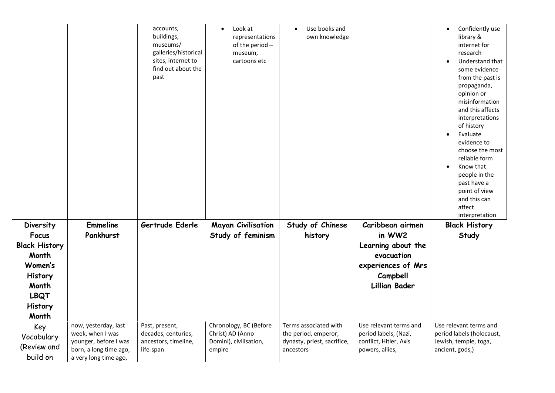|                                      |                                           | accounts,<br>buildings,<br>museums/<br>galleries/historical<br>sites, internet to<br>find out about the<br>past | Look at<br>representations<br>of the period $-$<br>museum,<br>cartoons etc | Use books and<br>$\bullet$<br>own knowledge         |                                                 | Confidently use<br>library &<br>internet for<br>research<br>Understand that<br>some evidence<br>from the past is<br>propaganda,<br>opinion or<br>misinformation<br>and this affects<br>interpretations<br>of history<br>Evaluate<br>$\bullet$<br>evidence to<br>choose the most<br>reliable form<br>Know that<br>people in the<br>past have a<br>point of view<br>and this can<br>affect<br>interpretation |
|--------------------------------------|-------------------------------------------|-----------------------------------------------------------------------------------------------------------------|----------------------------------------------------------------------------|-----------------------------------------------------|-------------------------------------------------|------------------------------------------------------------------------------------------------------------------------------------------------------------------------------------------------------------------------------------------------------------------------------------------------------------------------------------------------------------------------------------------------------------|
| Diversity                            | <b>Emmeline</b>                           | Gertrude Ederle                                                                                                 | <b>Mayan Civilisation</b>                                                  | Study of Chinese                                    | Caribbean airmen                                | <b>Black History</b>                                                                                                                                                                                                                                                                                                                                                                                       |
| <b>Focus</b><br><b>Black History</b> | Pankhurst                                 |                                                                                                                 | Study of feminism                                                          | history                                             | in WW2<br>Learning about the                    | Study                                                                                                                                                                                                                                                                                                                                                                                                      |
| Month                                |                                           |                                                                                                                 |                                                                            |                                                     | evacuation                                      |                                                                                                                                                                                                                                                                                                                                                                                                            |
| Women's                              |                                           |                                                                                                                 |                                                                            |                                                     | experiences of Mrs                              |                                                                                                                                                                                                                                                                                                                                                                                                            |
| History                              |                                           |                                                                                                                 |                                                                            |                                                     | Campbell                                        |                                                                                                                                                                                                                                                                                                                                                                                                            |
| Month                                |                                           |                                                                                                                 |                                                                            |                                                     | <b>Lillian Bader</b>                            |                                                                                                                                                                                                                                                                                                                                                                                                            |
| <b>LBQT</b>                          |                                           |                                                                                                                 |                                                                            |                                                     |                                                 |                                                                                                                                                                                                                                                                                                                                                                                                            |
| History                              |                                           |                                                                                                                 |                                                                            |                                                     |                                                 |                                                                                                                                                                                                                                                                                                                                                                                                            |
| Month                                |                                           |                                                                                                                 |                                                                            |                                                     |                                                 |                                                                                                                                                                                                                                                                                                                                                                                                            |
| Key                                  | now, yesterday, last                      | Past, present,                                                                                                  | Chronology, BC (Before                                                     | Terms associated with                               | Use relevant terms and                          | Use relevant terms and                                                                                                                                                                                                                                                                                                                                                                                     |
| Vocabulary                           | week, when I was<br>younger, before I was | decades, centuries,<br>ancestors, timeline,                                                                     | Christ) AD (Anno<br>Domini), civilisation,                                 | the period, emperor,<br>dynasty, priest, sacrifice, | period labels, (Nazi,<br>conflict, Hitler, Axis | period labels (holocaust,<br>Jewish, temple, toga,                                                                                                                                                                                                                                                                                                                                                         |
| (Review and                          | born, a long time ago,                    | life-span                                                                                                       | empire                                                                     | ancestors                                           | powers, allies,                                 | ancient, gods,)                                                                                                                                                                                                                                                                                                                                                                                            |
| build on                             | a very long time ago,                     |                                                                                                                 |                                                                            |                                                     |                                                 |                                                                                                                                                                                                                                                                                                                                                                                                            |